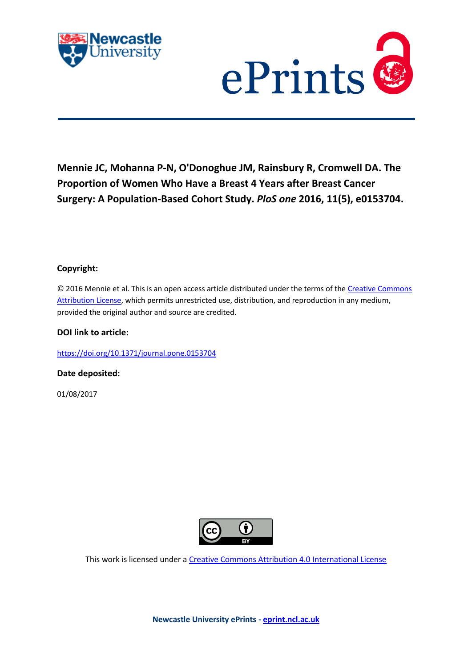



# **Mennie JC, Mohanna P-N, O'Donoghue JM, Rainsbury R, Cromwell DA. The Proportion of Women Who Have a Breast 4 Years after Breast Cancer Surgery: A Population-Based Cohort Study.** *PloS one* **2016, 11(5), e0153704.**

# **Copyright:**

© 2016 Mennie et al. This is an open access article distributed under the terms of th[e Creative Commons](http://creativecommons.org/licenses/by/4.0/)  [Attribution License,](http://creativecommons.org/licenses/by/4.0/) which permits unrestricted use, distribution, and reproduction in any medium, provided the original author and source are credited.

## **DOI link to article:**

<https://doi.org/10.1371/journal.pone.0153704>

**Date deposited:** 

01/08/2017



This work is licensed under [a Creative Commons Attribution 4.0 International License](http://creativecommons.org/licenses/by/4.0/)

**Newcastle University ePrints - [eprint.ncl.ac.uk](http://eprint.ncl.ac.uk/)**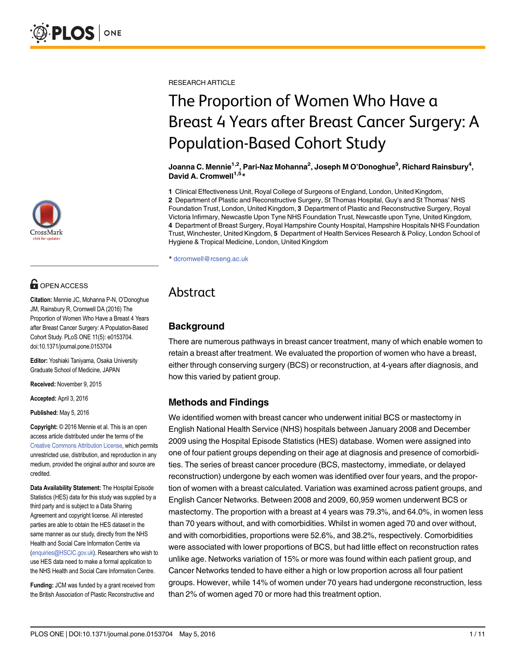

# **G** OPEN ACCESS

Citation: Mennie JC, Mohanna P-N, O'Donoghue JM, Rainsbury R, Cromwell DA (2016) The Proportion of Women Who Have a Breast 4 Years after Breast Cancer Surgery: A Population-Based Cohort Study. PLoS ONE 11(5): e0153704. doi:10.1371/journal.pone.0153704

Editor: Yoshiaki Taniyama, Osaka University Graduate School of Medicine, JAPAN

Received: November 9, 2015

Accepted: April 3, 2016

Published: May 5, 2016

Copyright: © 2016 Mennie et al. This is an open access article distributed under the terms of the [Creative Commons Attribution License,](http://creativecommons.org/licenses/by/4.0/) which permits unrestricted use, distribution, and reproduction in any medium, provided the original author and source are credited.

Data Availability Statement: The Hospital Episode Statistics (HES) data for this study was supplied by a third party and is subject to a Data Sharing Agreement and copyright license. All interested parties are able to obtain the HES dataset in the same manner as our study, directly from the NHS Health and Social Care Information Centre via (enquiries@HSCIC.gov.uk). Researchers who wish to use HES data need to make a formal application to the NHS Health and Social Care Information Centre.

Funding: JCM was funded by a grant received from the British Association of Plastic Reconstructive and

RESEARCH ARTICLE

# The Proportion of Women Who Have a Breast 4 Years after Breast Cancer Surgery: A Population-Based Cohort Study

Joanna C. Mennie $^{\rm 1,2}$ , Pari-Naz Mohanna $^{\rm 2}$ , Joseph M O'Donoghue $^{\rm 3}$ , Richard Rainsbury $^{\rm 4}$ , David A. Cromwell<sup>1,5\*</sup>

1 Clinical Effectiveness Unit, Royal College of Surgeons of England, London, United Kingdom, 2 Department of Plastic and Reconstructive Surgery, St Thomas Hospital, Guy's and St Thomas' NHS Foundation Trust, London, United Kingdom, 3 Department of Plastic and Reconstructive Surgery, Royal Victoria Infirmary, Newcastle Upon Tyne NHS Foundation Trust, Newcastle upon Tyne, United Kingdom, 4 Department of Breast Surgery, Royal Hampshire County Hospital, Hampshire Hospitals NHS Foundation Trust, Winchester, United Kingdom, 5 Department of Health Services Research & Policy, London School of Hygiene & Tropical Medicine, London, United Kingdom

\* dcromwell@rcseng.ac.uk

# Abstract

# **Background**

There are numerous pathways in breast cancer treatment, many of which enable women to retain a breast after treatment. We evaluated the proportion of women who have a breast, either through conserving surgery (BCS) or reconstruction, at 4-years after diagnosis, and how this varied by patient group.

# Methods and Findings

We identified women with breast cancer who underwent initial BCS or mastectomy in English National Health Service (NHS) hospitals between January 2008 and December 2009 using the Hospital Episode Statistics (HES) database. Women were assigned into one of four patient groups depending on their age at diagnosis and presence of comorbidities. The series of breast cancer procedure (BCS, mastectomy, immediate, or delayed reconstruction) undergone by each women was identified over four years, and the proportion of women with a breast calculated. Variation was examined across patient groups, and English Cancer Networks. Between 2008 and 2009, 60,959 women underwent BCS or mastectomy. The proportion with a breast at 4 years was 79.3%, and 64.0%, in women less than 70 years without, and with comorbidities. Whilst in women aged 70 and over without, and with comorbidities, proportions were 52.6%, and 38.2%, respectively. Comorbidities were associated with lower proportions of BCS, but had little effect on reconstruction rates unlike age. Networks variation of 15% or more was found within each patient group, and Cancer Networks tended to have either a high or low proportion across all four patient groups. However, while 14% of women under 70 years had undergone reconstruction, less than 2% of women aged 70 or more had this treatment option.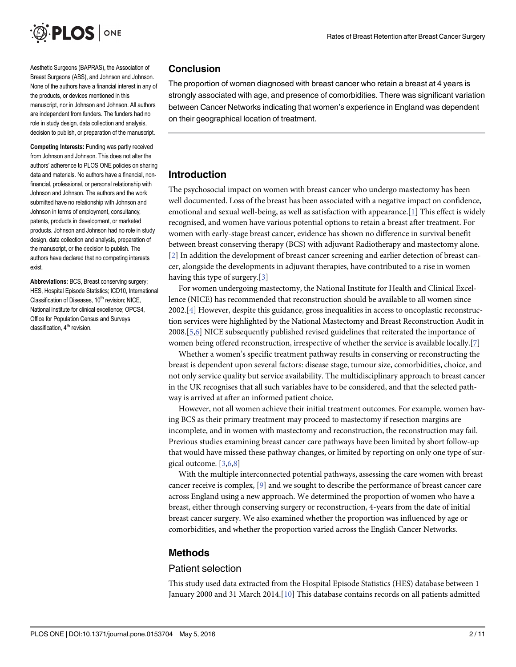<span id="page-2-0"></span>

Aesthetic Surgeons (BAPRAS), the Association of Breast Surgeons (ABS), and Johnson and Johnson. None of the authors have a financial interest in any of the products, or devices mentioned in this manuscript, nor in Johnson and Johnson. All authors are independent from funders. The funders had no role in study design, data collection and analysis, decision to publish, or preparation of the manuscript.

Competing Interests: Funding was partly received from Johnson and Johnson. This does not alter the authors' adherence to PLOS ONE policies on sharing data and materials. No authors have a financial, nonfinancial, professional, or personal relationship with Johnson and Johnson. The authors and the work submitted have no relationship with Johnson and Johnson in terms of employment, consultancy, patents, products in development, or marketed products. Johnson and Johnson had no role in study design, data collection and analysis, preparation of the manuscript, or the decision to publish. The authors have declared that no competing interests exist.

Abbreviations: BCS, Breast conserving surgery; HES, Hospital Episode Statistics; ICD10, International Classification of Diseases, 10<sup>th</sup> revision; NICE, National institute for clinical excellence; OPCS4, Office for Population Census and Surveys classification,  $4<sup>th</sup>$  revision.

## **Conclusion**

The proportion of women diagnosed with breast cancer who retain a breast at 4 years is strongly associated with age, and presence of comorbidities. There was significant variation between Cancer Networks indicating that women's experience in England was dependent on their geographical location of treatment.

# Introduction

The psychosocial impact on women with breast cancer who undergo mastectomy has been well documented. Loss of the breast has been associated with a negative impact on confidence, emotional and sexual well-being, as well as satisfaction with appearance. [[1\]](#page-10-0) This effect is widely recognised, and women have various potential options to retain a breast after treatment. For women with early-stage breast cancer, evidence has shown no difference in survival benefit between breast conserving therapy (BCS) with adjuvant Radiotherapy and mastectomy alone. [\[2](#page-10-0)] In addition the development of breast cancer screening and earlier detection of breast cancer, alongside the developments in adjuvant therapies, have contributed to a rise in women having this type of surgery.[\[3](#page-10-0)]

For women undergoing mastectomy, the National Institute for Health and Clinical Excellence (NICE) has recommended that reconstruction should be available to all women since 2002.[[4\]](#page-10-0) However, despite this guidance, gross inequalities in access to oncoplastic reconstruction services were highlighted by the National Mastectomy and Breast Reconstruction Audit in 2008.[[5,6\]](#page-10-0) NICE subsequently published revised guidelines that reiterated the importance of women being offered reconstruction, irrespective of whether the service is available locally.[\[7](#page-10-0)]

Whether a women's specific treatment pathway results in conserving or reconstructing the breast is dependent upon several factors: disease stage, tumour size, comorbidities, choice, and not only service quality but service availability. The multidisciplinary approach to breast cancer in the UK recognises that all such variables have to be considered, and that the selected pathway is arrived at after an informed patient choice.

However, not all women achieve their initial treatment outcomes. For example, women having BCS as their primary treatment may proceed to mastectomy if resection margins are incomplete, and in women with mastectomy and reconstruction, the reconstruction may fail. Previous studies examining breast cancer care pathways have been limited by short follow-up that would have missed these pathway changes, or limited by reporting on only one type of surgical outcome. [[3,6,8\]](#page-10-0)

With the multiple interconnected potential pathways, assessing the care women with breast cancer receive is complex, [\[9\]](#page-10-0) and we sought to describe the performance of breast cancer care across England using a new approach. We determined the proportion of women who have a breast, either through conserving surgery or reconstruction, 4-years from the date of initial breast cancer surgery. We also examined whether the proportion was influenced by age or comorbidities, and whether the proportion varied across the English Cancer Networks.

# Methods

### Patient selection

This study used data extracted from the Hospital Episode Statistics (HES) database between 1 January 2000 and 31 March 2014.[[10](#page-10-0)] This database contains records on all patients admitted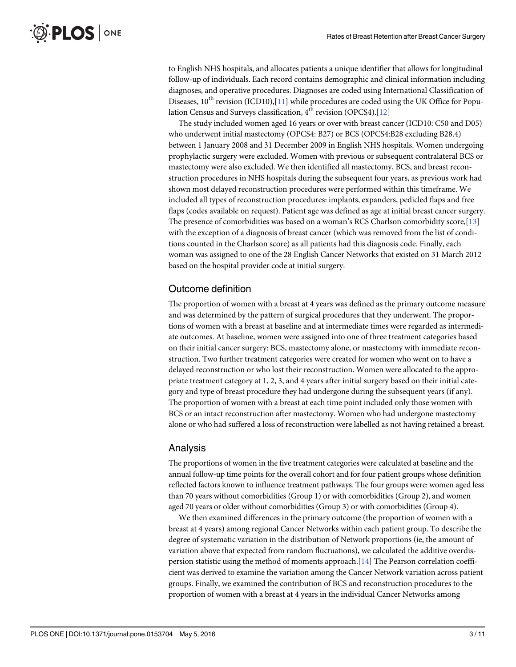<span id="page-3-0"></span>to English NHS hospitals, and allocates patients a unique identifier that allows for longitudinal follow-up of individuals. Each record contains demographic and clinical information including diagnoses, and operative procedures. Diagnoses are coded using International Classification of Diseases,  $10^{th}$  revision (ICD10),[\[11\]](#page-10-0) while procedures are coded using the UK Office for Population Census and Surveys classification,  $4<sup>th</sup>$  revision (OPCS4).[\[12\]](#page-10-0)

The study included women aged 16 years or over with breast cancer (ICD10: C50 and D05) who underwent initial mastectomy (OPCS4: B27) or BCS (OPCS4:B28 excluding B28.4) between 1 January 2008 and 31 December 2009 in English NHS hospitals. Women undergoing prophylactic surgery were excluded. Women with previous or subsequent contralateral BCS or mastectomy were also excluded. We then identified all mastectomy, BCS, and breast reconstruction procedures in NHS hospitals during the subsequent four years, as previous work had shown most delayed reconstruction procedures were performed within this timeframe. We included all types of reconstruction procedures: implants, expanders, pedicled flaps and free flaps (codes available on request). Patient age was defined as age at initial breast cancer surgery. The presence of comorbidities was based on a woman's RCS Charlson comorbidity score,  $[13]$ with the exception of a diagnosis of breast cancer (which was removed from the list of conditions counted in the Charlson score) as all patients had this diagnosis code. Finally, each woman was assigned to one of the 28 English Cancer Networks that existed on 31 March 2012 based on the hospital provider code at initial surgery.

### Outcome definition

The proportion of women with a breast at 4 years was defined as the primary outcome measure and was determined by the pattern of surgical procedures that they underwent. The proportions of women with a breast at baseline and at intermediate times were regarded as intermediate outcomes. At baseline, women were assigned into one of three treatment categories based on their initial cancer surgery: BCS, mastectomy alone, or mastectomy with immediate reconstruction. Two further treatment categories were created for women who went on to have a delayed reconstruction or who lost their reconstruction. Women were allocated to the appropriate treatment category at 1, 2, 3, and 4 years after initial surgery based on their initial category and type of breast procedure they had undergone during the subsequent years (if any). The proportion of women with a breast at each time point included only those women with BCS or an intact reconstruction after mastectomy. Women who had undergone mastectomy alone or who had suffered a loss of reconstruction were labelled as not having retained a breast.

### Analysis

The proportions of women in the five treatment categories were calculated at baseline and the annual follow-up time points for the overall cohort and for four patient groups whose definition reflected factors known to influence treatment pathways. The four groups were: women aged less than 70 years without comorbidities (Group 1) or with comorbidities (Group 2), and women aged 70 years or older without comorbidities (Group 3) or with comorbidities (Group 4).

We then examined differences in the primary outcome (the proportion of women with a breast at 4 years) among regional Cancer Networks within each patient group. To describe the degree of systematic variation in the distribution of Network proportions (ie, the amount of variation above that expected from random fluctuations), we calculated the additive overdispersion statistic using the method of moments approach.[[14](#page-11-0)] The Pearson correlation coefficient was derived to examine the variation among the Cancer Network variation across patient groups. Finally, we examined the contribution of BCS and reconstruction procedures to the proportion of women with a breast at 4 years in the individual Cancer Networks among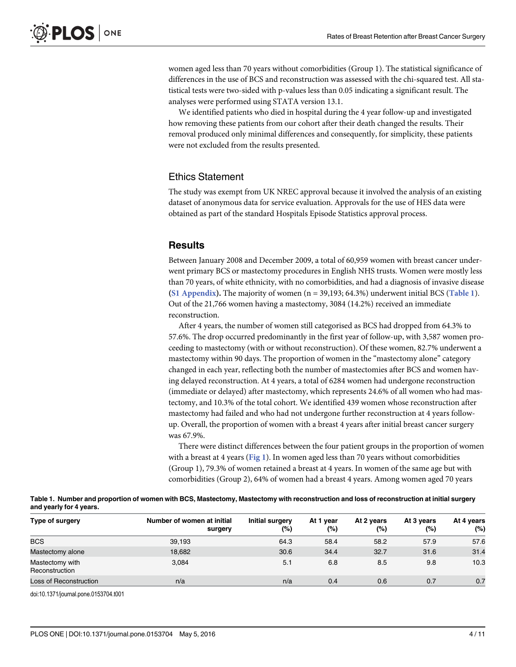<span id="page-4-0"></span>women aged less than 70 years without comorbidities (Group 1). The statistical significance of differences in the use of BCS and reconstruction was assessed with the chi-squared test. All statistical tests were two-sided with p-values less than 0.05 indicating a significant result. The analyses were performed using STATA version 13.1.

We identified patients who died in hospital during the 4 year follow-up and investigated how removing these patients from our cohort after their death changed the results. Their removal produced only minimal differences and consequently, for simplicity, these patients were not excluded from the results presented.

#### Ethics Statement

The study was exempt from UK NREC approval because it involved the analysis of an existing dataset of anonymous data for service evaluation. Approvals for the use of HES data were obtained as part of the standard Hospitals Episode Statistics approval process.

#### **Results**

Between January 2008 and December 2009, a total of 60,959 women with breast cancer underwent primary BCS or mastectomy procedures in English NHS trusts. Women were mostly less than 70 years, of white ethnicity, with no comorbidities, and had a diagnosis of invasive disease [\(S1 Appendix\)](#page-9-0). The majority of women  $(n = 39,193; 64.3%)$  underwent initial BCS (Table 1). Out of the 21,766 women having a mastectomy, 3084 (14.2%) received an immediate reconstruction.

After 4 years, the number of women still categorised as BCS had dropped from 64.3% to 57.6%. The drop occurred predominantly in the first year of follow-up, with 3,587 women proceeding to mastectomy (with or without reconstruction). Of these women, 82.7% underwent a mastectomy within 90 days. The proportion of women in the "mastectomy alone" category changed in each year, reflecting both the number of mastectomies after BCS and women having delayed reconstruction. At 4 years, a total of 6284 women had undergone reconstruction (immediate or delayed) after mastectomy, which represents 24.6% of all women who had mastectomy, and 10.3% of the total cohort. We identified 439 women whose reconstruction after mastectomy had failed and who had not undergone further reconstruction at 4 years followup. Overall, the proportion of women with a breast 4 years after initial breast cancer surgery was 67.9%.

There were distinct differences between the four patient groups in the proportion of women with a breast at 4 years ( $Fig 1$ ). In women aged less than 70 years without comorbidities (Group 1), 79.3% of women retained a breast at 4 years. In women of the same age but with comorbidities (Group 2), 64% of women had a breast 4 years. Among women aged 70 years

| Table 1. Number and proportion of women with BCS, Mastectomy, Mastectomy with reconstruction and loss of reconstruction at initial surgery |  |  |
|--------------------------------------------------------------------------------------------------------------------------------------------|--|--|
| and yearly for 4 years.                                                                                                                    |  |  |

| Type of surgery                   | Number of women at initial<br>surgery | Initial surgery<br>(%) | At 1 year<br>$(\%)$ | At 2 years<br>$(\%)$ | At 3 years<br>$(\%)$ | At 4 years<br>(%) |
|-----------------------------------|---------------------------------------|------------------------|---------------------|----------------------|----------------------|-------------------|
| <b>BCS</b>                        | 39.193                                | 64.3                   | 58.4                | 58.2                 | 57.9                 | 57.6              |
| Mastectomy alone                  | 18,682                                | 30.6                   | 34.4                | 32.7                 | 31.6                 | 31.4              |
| Mastectomy with<br>Reconstruction | 3.084                                 | 5.1                    | 6.8                 | 8.5                  | 9.8                  | 10.3              |
| Loss of Reconstruction            | n/a                                   | n/a                    | 0.4                 | 0.6                  | 0.7                  | 0.7               |

doi:10.1371/journal.pone.0153704.t001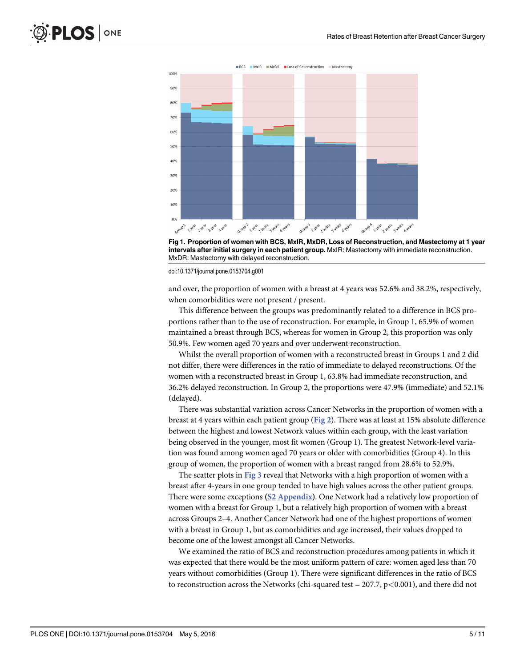<span id="page-5-0"></span>



doi:10.1371/journal.pone.0153704.g001

and over, the proportion of women with a breast at 4 years was 52.6% and 38.2%, respectively, when comorbidities were not present / present.

This difference between the groups was predominantly related to a difference in BCS proportions rather than to the use of reconstruction. For example, in Group 1, 65.9% of women maintained a breast through BCS, whereas for women in Group 2, this proportion was only 50.9%. Few women aged 70 years and over underwent reconstruction.

Whilst the overall proportion of women with a reconstructed breast in Groups 1 and 2 did not differ, there were differences in the ratio of immediate to delayed reconstructions. Of the women with a reconstructed breast in Group 1, 63.8% had immediate reconstruction, and 36.2% delayed reconstruction. In Group 2, the proportions were 47.9% (immediate) and 52.1% (delayed).

There was substantial variation across Cancer Networks in the proportion of women with a breast at 4 years within each patient group ( $Fig 2$ ). There was at least at 15% absolute difference between the highest and lowest Network values within each group, with the least variation being observed in the younger, most fit women (Group 1). The greatest Network-level variation was found among women aged 70 years or older with comorbidities (Group 4). In this group of women, the proportion of women with a breast ranged from 28.6% to 52.9%.

The scatter plots in [Fig 3](#page-6-0) reveal that Networks with a high proportion of women with a breast after 4-years in one group tended to have high values across the other patient groups. There were some exceptions ([S2 Appendix\)](#page-9-0). One Network had a relatively low proportion of women with a breast for Group 1, but a relatively high proportion of women with a breast across Groups 2–4. Another Cancer Network had one of the highest proportions of women with a breast in Group 1, but as comorbidities and age increased, their values dropped to become one of the lowest amongst all Cancer Networks.

We examined the ratio of BCS and reconstruction procedures among patients in which it was expected that there would be the most uniform pattern of care: women aged less than 70 years without comorbidities (Group 1). There were significant differences in the ratio of BCS to reconstruction across the Networks (chi-squared test =  $207.7$ ,  $p < 0.001$ ), and there did not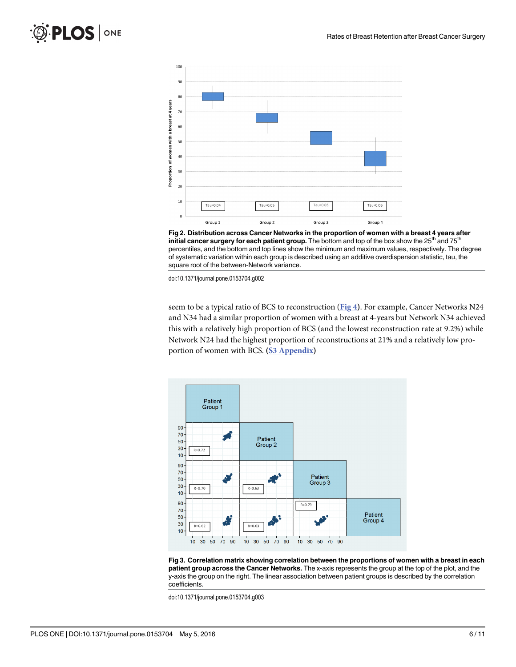<span id="page-6-0"></span>

[Fig 2. D](#page-5-0)istribution across Cancer Networks in the proportion of women with a breast 4 years after initial cancer surgery for each patient group. The bottom and top of the box show the 25<sup>th</sup> and 75<sup>th</sup> percentiles, and the bottom and top lines show the minimum and maximum values, respectively. The degree of systematic variation within each group is described using an additive overdispersion statistic, tau, the square root of the between-Network variance.

doi:10.1371/journal.pone.0153704.g002

seem to be a typical ratio of BCS to reconstruction ([Fig 4](#page-7-0)). For example, Cancer Networks N24 and N34 had a similar proportion of women with a breast at 4-years but Network N34 achieved this with a relatively high proportion of BCS (and the lowest reconstruction rate at 9.2%) while Network N24 had the highest proportion of reconstructions at 21% and a relatively low pro-portion of women with BCS. ([S3 Appendix\)](#page-10-0)



[Fig 3. C](#page-5-0)orrelation matrix showing correlation between the proportions of women with a breast in each patient group across the Cancer Networks. The x-axis represents the group at the top of the plot, and the y-axis the group on the right. The linear association between patient groups is described by the correlation coefficients.

doi:10.1371/journal.pone.0153704.g003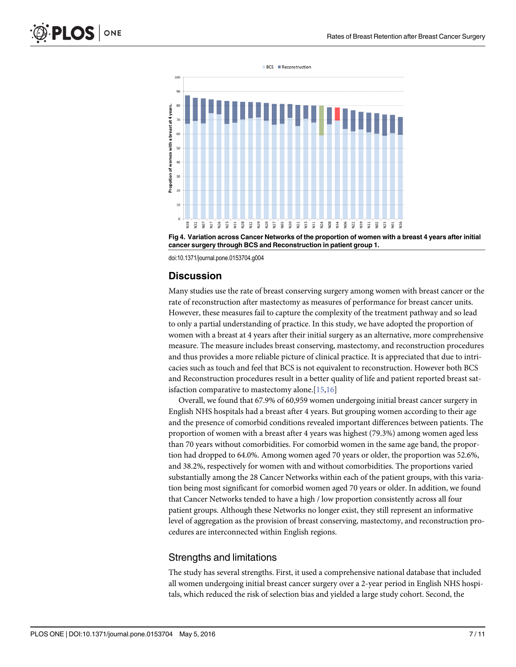<span id="page-7-0"></span>



doi:10.1371/journal.pone.0153704.g004

#### **Discussion**

Many studies use the rate of breast conserving surgery among women with breast cancer or the rate of reconstruction after mastectomy as measures of performance for breast cancer units. However, these measures fail to capture the complexity of the treatment pathway and so lead to only a partial understanding of practice. In this study, we have adopted the proportion of women with a breast at 4 years after their initial surgery as an alternative, more comprehensive measure. The measure includes breast conserving, mastectomy, and reconstruction procedures and thus provides a more reliable picture of clinical practice. It is appreciated that due to intricacies such as touch and feel that BCS is not equivalent to reconstruction. However both BCS and Reconstruction procedures result in a better quality of life and patient reported breast sat-isfaction comparative to mastectomy alone.[\[15,16\]](#page-11-0)

Overall, we found that 67.9% of 60,959 women undergoing initial breast cancer surgery in English NHS hospitals had a breast after 4 years. But grouping women according to their age and the presence of comorbid conditions revealed important differences between patients. The proportion of women with a breast after 4 years was highest (79.3%) among women aged less than 70 years without comorbidities. For comorbid women in the same age band, the proportion had dropped to 64.0%. Among women aged 70 years or older, the proportion was 52.6%, and 38.2%, respectively for women with and without comorbidities. The proportions varied substantially among the 28 Cancer Networks within each of the patient groups, with this variation being most significant for comorbid women aged 70 years or older. In addition, we found that Cancer Networks tended to have a high / low proportion consistently across all four patient groups. Although these Networks no longer exist, they still represent an informative level of aggregation as the provision of breast conserving, mastectomy, and reconstruction procedures are interconnected within English regions.

#### Strengths and limitations

The study has several strengths. First, it used a comprehensive national database that included all women undergoing initial breast cancer surgery over a 2-year period in English NHS hospitals, which reduced the risk of selection bias and yielded a large study cohort. Second, the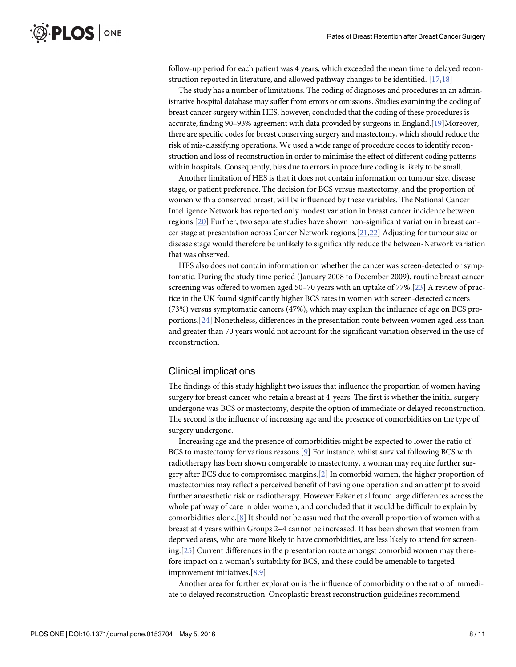<span id="page-8-0"></span>follow-up period for each patient was 4 years, which exceeded the mean time to delayed reconstruction reported in literature, and allowed pathway changes to be identified.  $[17,18]$ 

The study has a number of limitations. The coding of diagnoses and procedures in an administrative hospital database may suffer from errors or omissions. Studies examining the coding of breast cancer surgery within HES, however, concluded that the coding of these procedures is accurate, finding 90–93% agreement with data provided by surgeons in England.[\[19](#page-11-0)]Moreover, there are specific codes for breast conserving surgery and mastectomy, which should reduce the risk of mis-classifying operations. We used a wide range of procedure codes to identify reconstruction and loss of reconstruction in order to minimise the effect of different coding patterns within hospitals. Consequently, bias due to errors in procedure coding is likely to be small.

Another limitation of HES is that it does not contain information on tumour size, disease stage, or patient preference. The decision for BCS versus mastectomy, and the proportion of women with a conserved breast, will be influenced by these variables. The National Cancer Intelligence Network has reported only modest variation in breast cancer incidence between regions.[[20](#page-11-0)] Further, two separate studies have shown non-significant variation in breast cancer stage at presentation across Cancer Network regions.[[21](#page-11-0),[22](#page-11-0)] Adjusting for tumour size or disease stage would therefore be unlikely to significantly reduce the between-Network variation that was observed.

HES also does not contain information on whether the cancer was screen-detected or symptomatic. During the study time period (January 2008 to December 2009), routine breast cancer screening was offered to women aged 50–70 years with an uptake of 77%.[[23](#page-11-0)] A review of practice in the UK found significantly higher BCS rates in women with screen-detected cancers (73%) versus symptomatic cancers (47%), which may explain the influence of age on BCS proportions.[\[24\]](#page-11-0) Nonetheless, differences in the presentation route between women aged less than and greater than 70 years would not account for the significant variation observed in the use of reconstruction.

#### Clinical implications

The findings of this study highlight two issues that influence the proportion of women having surgery for breast cancer who retain a breast at 4-years. The first is whether the initial surgery undergone was BCS or mastectomy, despite the option of immediate or delayed reconstruction. The second is the influence of increasing age and the presence of comorbidities on the type of surgery undergone.

Increasing age and the presence of comorbidities might be expected to lower the ratio of BCS to mastectomy for various reasons.[[9](#page-10-0)] For instance, whilst survival following BCS with radiotherapy has been shown comparable to mastectomy, a woman may require further surgery after BCS due to compromised margins.[[2\]](#page-10-0) In comorbid women, the higher proportion of mastectomies may reflect a perceived benefit of having one operation and an attempt to avoid further anaesthetic risk or radiotherapy. However Eaker et al found large differences across the whole pathway of care in older women, and concluded that it would be difficult to explain by comorbidities alone.[\[8\]](#page-10-0) It should not be assumed that the overall proportion of women with a breast at 4 years within Groups 2–4 cannot be increased. It has been shown that women from deprived areas, who are more likely to have comorbidities, are less likely to attend for screening.[\[25\]](#page-11-0) Current differences in the presentation route amongst comorbid women may therefore impact on a woman's suitability for BCS, and these could be amenable to targeted improvement initiatives.[[8](#page-10-0),[9](#page-10-0)]

Another area for further exploration is the influence of comorbidity on the ratio of immediate to delayed reconstruction. Oncoplastic breast reconstruction guidelines recommend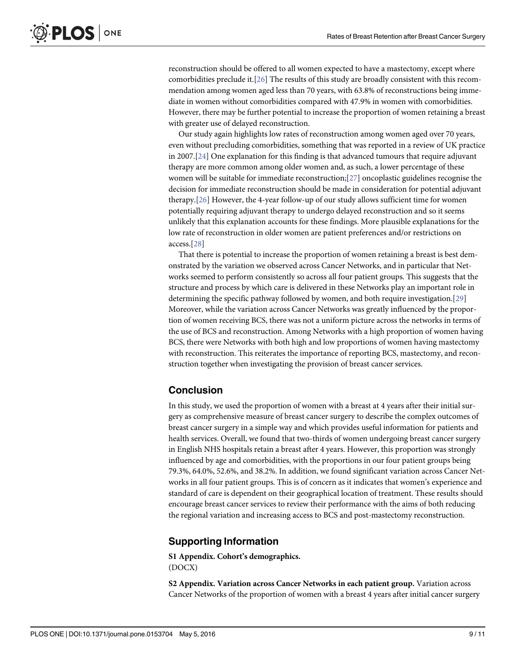<span id="page-9-0"></span>reconstruction should be offered to all women expected to have a mastectomy, except where comorbidities preclude it.[[26](#page-11-0)] The results of this study are broadly consistent with this recommendation among women aged less than 70 years, with 63.8% of reconstructions being immediate in women without comorbidities compared with 47.9% in women with comorbidities. However, there may be further potential to increase the proportion of women retaining a breast with greater use of delayed reconstruction.

Our study again highlights low rates of reconstruction among women aged over 70 years, even without precluding comorbidities, something that was reported in a review of UK practice in 2007.[[24\]](#page-11-0) One explanation for this finding is that advanced tumours that require adjuvant therapy are more common among older women and, as such, a lower percentage of these women will be suitable for immediate reconstruction;[[27](#page-11-0)] oncoplastic guidelines recognise the decision for immediate reconstruction should be made in consideration for potential adjuvant therapy.[[26\]](#page-11-0) However, the 4-year follow-up of our study allows sufficient time for women potentially requiring adjuvant therapy to undergo delayed reconstruction and so it seems unlikely that this explanation accounts for these findings. More plausible explanations for the low rate of reconstruction in older women are patient preferences and/or restrictions on access.[[28](#page-11-0)]

That there is potential to increase the proportion of women retaining a breast is best demonstrated by the variation we observed across Cancer Networks, and in particular that Networks seemed to perform consistently so across all four patient groups. This suggests that the structure and process by which care is delivered in these Networks play an important role in determining the specific pathway followed by women, and both require investigation.[[29](#page-11-0)] Moreover, while the variation across Cancer Networks was greatly influenced by the proportion of women receiving BCS, there was not a uniform picture across the networks in terms of the use of BCS and reconstruction. Among Networks with a high proportion of women having BCS, there were Networks with both high and low proportions of women having mastectomy with reconstruction. This reiterates the importance of reporting BCS, mastectomy, and reconstruction together when investigating the provision of breast cancer services.

### Conclusion

In this study, we used the proportion of women with a breast at 4 years after their initial surgery as comprehensive measure of breast cancer surgery to describe the complex outcomes of breast cancer surgery in a simple way and which provides useful information for patients and health services. Overall, we found that two-thirds of women undergoing breast cancer surgery in English NHS hospitals retain a breast after 4 years. However, this proportion was strongly influenced by age and comorbidities, with the proportions in our four patient groups being 79.3%, 64.0%, 52.6%, and 38.2%. In addition, we found significant variation across Cancer Networks in all four patient groups. This is of concern as it indicates that women's experience and standard of care is dependent on their geographical location of treatment. These results should encourage breast cancer services to review their performance with the aims of both reducing the regional variation and increasing access to BCS and post-mastectomy reconstruction.

### Supporting Information

[S1 Appendix.](http://www.plosone.org/article/fetchSingleRepresentation.action?uri=info:doi/10.1371/journal.pone.0153704.s001) Cohort's demographics. (DOCX)

[S2 Appendix.](http://www.plosone.org/article/fetchSingleRepresentation.action?uri=info:doi/10.1371/journal.pone.0153704.s002) Variation across Cancer Networks in each patient group. Variation across Cancer Networks of the proportion of women with a breast 4 years after initial cancer surgery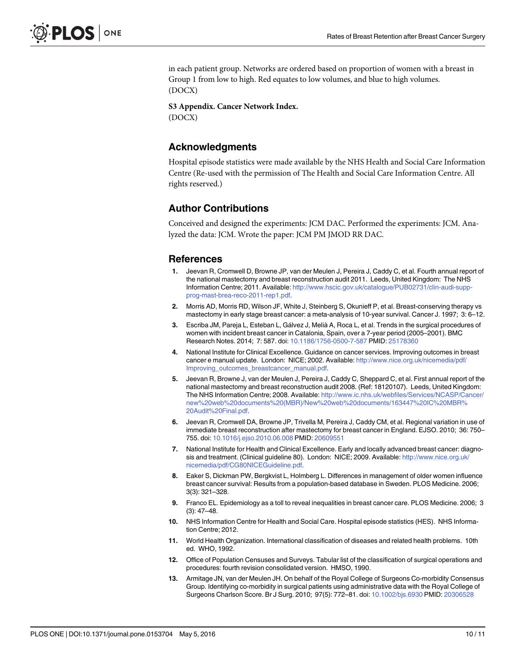<span id="page-10-0"></span>in each patient group. Networks are ordered based on proportion of women with a breast in Group 1 from low to high. Red equates to low volumes, and blue to high volumes. (DOCX)

#### [S3 Appendix.](http://www.plosone.org/article/fetchSingleRepresentation.action?uri=info:doi/10.1371/journal.pone.0153704.s003) Cancer Network Index.

(DOCX)

#### Acknowledgments

Hospital episode statistics were made available by the NHS Health and Social Care Information Centre (Re-used with the permission of The Health and Social Care Information Centre. All rights reserved.)

### Author Contributions

Conceived and designed the experiments: JCM DAC. Performed the experiments: JCM. Analyzed the data: JCM. Wrote the paper: JCM PM JMOD RR DAC.

#### **References**

- [1.](#page-2-0) Jeevan R, Cromwell D, Browne JP, van der Meulen J, Pereira J, Caddy C, et al. Fourth annual report of the national mastectomy and breast reconstruction audit 2011. Leeds, United Kingdom: The NHS Information Centre; 2011. Available: [http://www.hscic.gov.uk/catalogue/PUB02731/clin-audi-supp](http://www.hscic.gov.uk/catalogue/PUB02731/clin-audi-supp-prog-mast-brea-reco-2011-rep1.pdf)[prog-mast-brea-reco-2011-rep1.pdf](http://www.hscic.gov.uk/catalogue/PUB02731/clin-audi-supp-prog-mast-brea-reco-2011-rep1.pdf).
- [2.](#page-2-0) Morris AD, Morris RD, Wilson JF, White J, Steinberg S, Okunieff P, et al. Breast-conserving therapy vs mastectomy in early stage breast cancer: a meta-analysis of 10-year survival. Cancer J. 1997; 3: 6–12.
- [3.](#page-2-0) Escriba JM, Pareja L, Esteban L, Gálvez J, Melià A, Roca L, et al. Trends in the surgical procedures of women with incident breast cancer in Catalonia, Spain, over a 7-year period (2005–2001). BMC Research Notes. 2014; 7: 587. doi: [10.1186/1756-0500-7-587](http://dx.doi.org/10.1186/1756-0500-7-587) PMID: [25178360](http://www.ncbi.nlm.nih.gov/pubmed/25178360)
- [4.](#page-2-0) National Institute for Clinical Excellence. Guidance on cancer services. Improving outcomes in breast cancer e manual update. London: NICE; 2002. Available: [http://www.nice.org.uk/nicemedia/pdf/](http://www.nice.org.uk/nicemedia/pdf/Improving_outcomes_breastcancer_manual.pdf) [Improving\\_outcomes\\_breastcancer\\_manual.pdf.](http://www.nice.org.uk/nicemedia/pdf/Improving_outcomes_breastcancer_manual.pdf)
- [5.](#page-2-0) Jeevan R, Browne J, van der Meulen J, Pereira J, Caddy C, Sheppard C, et al. First annual report of the national mastectomy and breast reconstruction audit 2008. (Ref: 18120107). Leeds, United Kingdom: The NHS Information Centre; 2008. Available: [http://www.ic.nhs.uk/webfiles/Services/NCASP/Cancer/](http://www.ic.nhs.uk/webfiles/Services/NCASP/Cancer/new%20web%20documents%20(MBR)/New%20web%20documents/163447%20IC%20MBR%20Audit%20Final.pdf) [new%20web%20documents%20\(MBR\)/New%20web%20documents/163447%20IC%20MBR%](http://www.ic.nhs.uk/webfiles/Services/NCASP/Cancer/new%20web%20documents%20(MBR)/New%20web%20documents/163447%20IC%20MBR%20Audit%20Final.pdf) [20Audit%20Final.pdf.](http://www.ic.nhs.uk/webfiles/Services/NCASP/Cancer/new%20web%20documents%20(MBR)/New%20web%20documents/163447%20IC%20MBR%20Audit%20Final.pdf)
- [6.](#page-2-0) Jeevan R, Cromwell DA, Browne JP, Trivella M, Pereira J, Caddy CM, et al. Regional variation in use of immediate breast reconstruction after mastectomy for breast cancer in England. EJSO. 2010; 36: 750– 755. doi: [10.1016/j.ejso.2010.06.008](http://dx.doi.org/10.1016/j.ejso.2010.06.008) PMID: [20609551](http://www.ncbi.nlm.nih.gov/pubmed/20609551)
- [7.](#page-2-0) National Institute for Health and Clinical Excellence. Early and locally advanced breast cancer: diagnosis and treatment. (Clinical guideline 80). London: NICE; 2009. Available: [http://www.nice.org.uk/](http://www.nice.org.uk/nicemedia/pdf/CG80NICEGuideline.pdf) [nicemedia/pdf/CG80NICEGuideline.pdf](http://www.nice.org.uk/nicemedia/pdf/CG80NICEGuideline.pdf).
- [8.](#page-2-0) Eaker S, Dickman PW, Bergkvist L, Holmberg L. Differences in management of older women influence breast cancer survival: Results from a population-based database in Sweden. PLOS Medicine. 2006; 3(3): 321–328.
- [9.](#page-2-0) Franco EL. Epidemiology as a toll to reveal inequalities in breast cancer care. PLOS Medicine. 2006; 3 (3): 47–48.
- [10.](#page-2-0) NHS Information Centre for Health and Social Care. Hospital episode statistics (HES). NHS Information Centre; 2012.
- [11.](#page-3-0) World Health Organization. International classification of diseases and related health problems. 10th ed. WHO, 1992.
- [12.](#page-3-0) Office of Population Censuses and Surveys. Tabular list of the classification of surgical operations and procedures: fourth revision consolidated version. HMSO, 1990.
- [13.](#page-3-0) Armitage JN, van der Meulen JH. On behalf of the Royal College of Surgeons Co-morbidity Consensus Group. Identifying co-morbidity in surgical patients using administrative data with the Royal College of Surgeons Charlson Score. Br J Surg. 2010; 97(5): 772–81. doi: [10.1002/bjs.6930](http://dx.doi.org/10.1002/bjs.6930) PMID: [20306528](http://www.ncbi.nlm.nih.gov/pubmed/20306528)